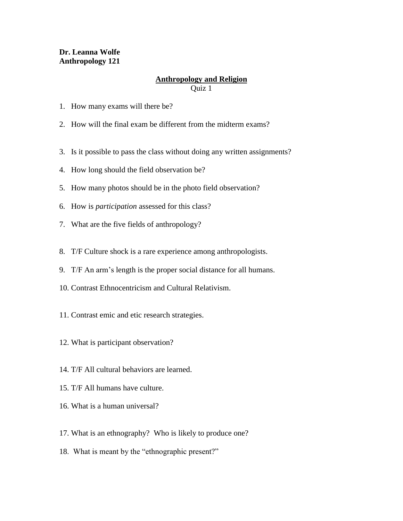## **Dr. Leanna Wolfe Anthropology 121**

## **Anthropology and Religion**

Quiz 1

- 1. How many exams will there be?
- 2. How will the final exam be different from the midterm exams?
- 3. Is it possible to pass the class without doing any written assignments?
- 4. How long should the field observation be?
- 5. How many photos should be in the photo field observation?
- 6. How is *participation* assessed for this class?
- 7. What are the five fields of anthropology?
- 8. T/F Culture shock is a rare experience among anthropologists.
- 9. T/F An arm's length is the proper social distance for all humans.
- 10. Contrast Ethnocentricism and Cultural Relativism.
- 11. Contrast emic and etic research strategies.
- 12. What is participant observation?
- 14. T/F All cultural behaviors are learned.
- 15. T/F All humans have culture.
- 16. What is a human universal?
- 17. What is an ethnography? Who is likely to produce one?
- 18. What is meant by the "ethnographic present?"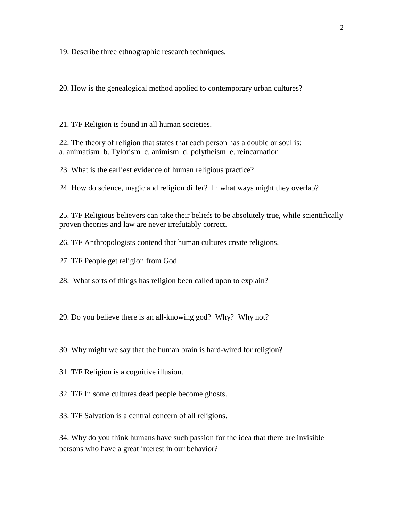19. Describe three ethnographic research techniques.

20. How is the genealogical method applied to contemporary urban cultures?

21. T/F Religion is found in all human societies.

22. The theory of religion that states that each person has a double or soul is: a. animatism b. Tylorism c. animism d. polytheism e. reincarnation

23. What is the earliest evidence of human religious practice?

24. How do science, magic and religion differ? In what ways might they overlap?

25. T/F Religious believers can take their beliefs to be absolutely true, while scientifically proven theories and law are never irrefutably correct.

26. T/F Anthropologists contend that human cultures create religions.

27. T/F People get religion from God.

28. What sorts of things has religion been called upon to explain?

29. Do you believe there is an all-knowing god? Why? Why not?

30. Why might we say that the human brain is hard-wired for religion?

31. T/F Religion is a cognitive illusion.

32. T/F In some cultures dead people become ghosts.

33. T/F Salvation is a central concern of all religions.

34. Why do you think humans have such passion for the idea that there are invisible persons who have a great interest in our behavior?